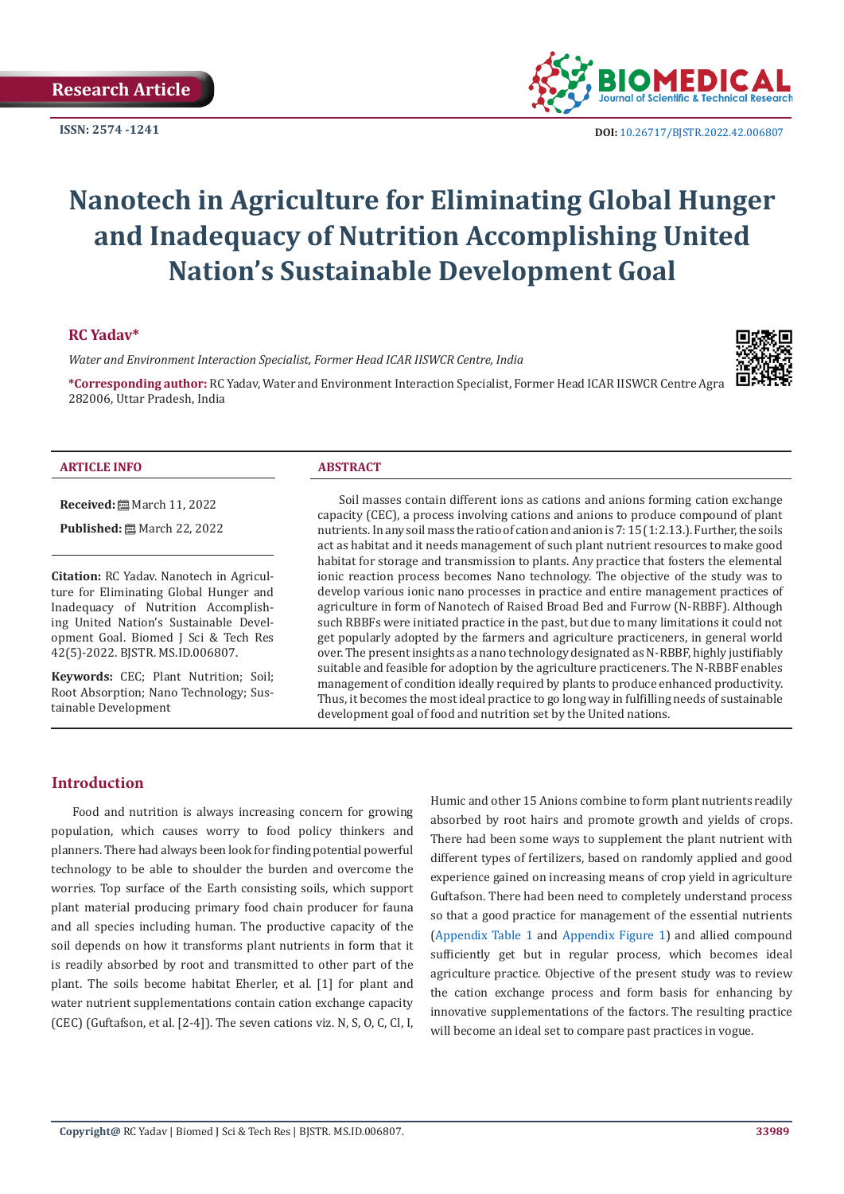

**ISSN:** 2574 -1241 **DOI:** [10.26717/BJSTR.2022.42.006807](https://dx.doi.org/10.26717/BJSTR.2022.42.006807)

# **Nanotech in Agriculture for Eliminating Global Hunger and Inadequacy of Nutrition Accomplishing United Nation's Sustainable Development Goal**

## **RC Yadav\***

*Water and Environment Interaction Specialist, Former Head ICAR IISWCR Centre, India*

**\*Corresponding author:** RC Yadav, Water and Environment Interaction Specialist, Former Head ICAR IISWCR Centre Agra 282006, Uttar Pradesh, India



#### **ARTICLE INFO ABSTRACT**

**Received:** March 11, 2022

**Published:** ■ March 22, 2022

**Citation:** RC Yadav. Nanotech in Agriculture for Eliminating Global Hunger and Inadequacy of Nutrition Accomplishing United Nation's Sustainable Development Goal. Biomed J Sci & Tech Res 42(5)-2022. BJSTR. MS.ID.006807.

**Keywords:** CEC; Plant Nutrition; Soil; Root Absorption; Nano Technology; Sustainable Development

Soil masses contain different ions as cations and anions forming cation exchange capacity (CEC), a process involving cations and anions to produce compound of plant nutrients. In any soil mass the ratio of cation and anion is 7: 15 (1:2.13.). Further, the soils act as habitat and it needs management of such plant nutrient resources to make good habitat for storage and transmission to plants. Any practice that fosters the elemental ionic reaction process becomes Nano technology. The objective of the study was to develop various ionic nano processes in practice and entire management practices of agriculture in form of Nanotech of Raised Broad Bed and Furrow (N-RBBF). Although such RBBFs were initiated practice in the past, but due to many limitations it could not get popularly adopted by the farmers and agriculture practiceners, in general world over. The present insights as a nano technology designated as N-RBBF, highly justifiably suitable and feasible for adoption by the agriculture practiceners. The N-RBBF enables management of condition ideally required by plants to produce enhanced productivity. Thus, it becomes the most ideal practice to go long way in fulfilling needs of sustainable development goal of food and nutrition set by the United nations.

#### **Introduction**

Food and nutrition is always increasing concern for growing population, which causes worry to food policy thinkers and planners. There had always been look for finding potential powerful technology to be able to shoulder the burden and overcome the worries. Top surface of the Earth consisting soils, which support plant material producing primary food chain producer for fauna and all species including human. The productive capacity of the soil depends on how it transforms plant nutrients in form that it is readily absorbed by root and transmitted to other part of the plant. The soils become habitat Eherler, et al. [1] for plant and water nutrient supplementations contain cation exchange capacity (CEC) (Guftafson, et al. [2-4]). The seven cations viz. N, S, O, C, Cl, I, Humic and other 15 Anions combine to form plant nutrients readily absorbed by root hairs and promote growth and yields of crops. There had been some ways to supplement the plant nutrient with different types of fertilizers, based on randomly applied and good experience gained on increasing means of crop yield in agriculture Guftafson. There had been need to completely understand process so that a good practice for management of the essential nutrients [\(Appendix Table 1](https://biomedres.us/pdfs/BJSTR.MS.ID.006807-Apppendix-Table.pdf) and [Appendix Figure 1\)](https://biomedres.us/pdfs/BJSTR.MS.ID.006807-Appendix-Figure.pdf) and allied compound sufficiently get but in regular process, which becomes ideal agriculture practice. Objective of the present study was to review the cation exchange process and form basis for enhancing by innovative supplementations of the factors. The resulting practice will become an ideal set to compare past practices in vogue.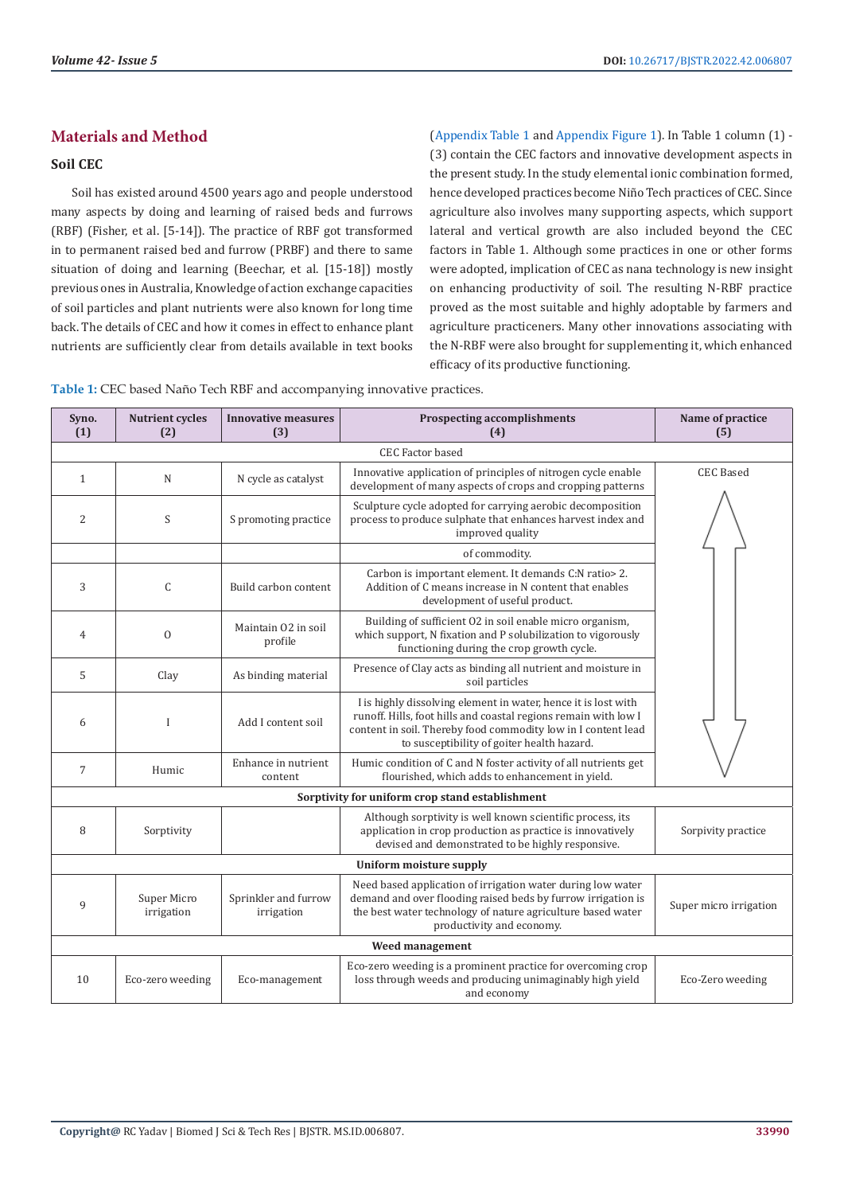# **Materials and Method**

# **Soil CEC**

Soil has existed around 4500 years ago and people understood many aspects by doing and learning of raised beds and furrows (RBF) (Fisher, et al. [5-14]). The practice of RBF got transformed in to permanent raised bed and furrow (PRBF) and there to same situation of doing and learning (Beechar, et al. [15-18]) mostly previous ones in Australia, Knowledge of action exchange capacities of soil particles and plant nutrients were also known for long time back. The details of CEC and how it comes in effect to enhance plant nutrients are sufficiently clear from details available in text books

[\(Appendix Table 1](https://biomedres.us/pdfs/BJSTR.MS.ID.006807-Apppendix-Table.pdf) and [Appendix Figure 1\)](https://biomedres.us/pdfs/BJSTR.MS.ID.006807-Appendix-Figure.pdf). In Table 1 column (1) - (3) contain the CEC factors and innovative development aspects in the present study. In the study elemental ionic combination formed, hence developed practices become Niño Tech practices of CEC. Since agriculture also involves many supporting aspects, which support lateral and vertical growth are also included beyond the CEC factors in Table 1. Although some practices in one or other forms were adopted, implication of CEC as nana technology is new insight on enhancing productivity of soil. The resulting N-RBF practice proved as the most suitable and highly adoptable by farmers and agriculture practiceners. Many other innovations associating with the N-RBF were also brought for supplementing it, which enhanced efficacy of its productive functioning.

**Table 1:** CEC based Naño Tech RBF and accompanying innovative practices.

| Syno.<br>(1)                                    | <b>Nutrient cycles</b><br>(2) | <b>Innovative measures</b><br>(3)  | <b>Prospecting accomplishments</b><br>(4)                                                                                                                                                                                                        | Name of practice<br>(5) |  |  |
|-------------------------------------------------|-------------------------------|------------------------------------|--------------------------------------------------------------------------------------------------------------------------------------------------------------------------------------------------------------------------------------------------|-------------------------|--|--|
| <b>CEC Factor based</b>                         |                               |                                    |                                                                                                                                                                                                                                                  |                         |  |  |
| $\mathbf{1}$                                    | N                             | N cycle as catalyst                | Innovative application of principles of nitrogen cycle enable<br>development of many aspects of crops and cropping patterns                                                                                                                      | <b>CEC</b> Based        |  |  |
| $\overline{2}$                                  | S                             | S promoting practice               | Sculpture cycle adopted for carrying aerobic decomposition<br>process to produce sulphate that enhances harvest index and<br>improved quality                                                                                                    |                         |  |  |
|                                                 |                               |                                    | of commodity.                                                                                                                                                                                                                                    |                         |  |  |
| 3                                               | C                             | Build carbon content               | Carbon is important element. It demands C:N ratio> 2.<br>Addition of C means increase in N content that enables<br>development of useful product.                                                                                                |                         |  |  |
| $\overline{4}$                                  | $\mathbf{0}$                  | Maintain 02 in soil<br>profile     | Building of sufficient 02 in soil enable micro organism,<br>which support, N fixation and P solubilization to vigorously<br>functioning during the crop growth cycle.                                                                            |                         |  |  |
| 5                                               | Clay                          | As binding material                | Presence of Clay acts as binding all nutrient and moisture in<br>soil particles                                                                                                                                                                  |                         |  |  |
| 6                                               | $\mathbf{I}$                  | Add I content soil                 | I is highly dissolving element in water, hence it is lost with<br>runoff. Hills, foot hills and coastal regions remain with low I<br>content in soil. Thereby food commodity low in I content lead<br>to susceptibility of goiter health hazard. |                         |  |  |
| $\overline{7}$                                  | Humic                         | Enhance in nutrient<br>content     | Humic condition of C and N foster activity of all nutrients get<br>flourished, which adds to enhancement in yield.                                                                                                                               |                         |  |  |
| Sorptivity for uniform crop stand establishment |                               |                                    |                                                                                                                                                                                                                                                  |                         |  |  |
| 8                                               | Sorptivity                    |                                    | Although sorptivity is well known scientific process, its<br>application in crop production as practice is innovatively<br>devised and demonstrated to be highly responsive.                                                                     | Sorpivity practice      |  |  |
| <b>Uniform moisture supply</b>                  |                               |                                    |                                                                                                                                                                                                                                                  |                         |  |  |
| 9                                               | Super Micro<br>irrigation     | Sprinkler and furrow<br>irrigation | Need based application of irrigation water during low water<br>demand and over flooding raised beds by furrow irrigation is<br>the best water technology of nature agriculture based water<br>productivity and economy.                          | Super micro irrigation  |  |  |
| Weed management                                 |                               |                                    |                                                                                                                                                                                                                                                  |                         |  |  |
| 10                                              | Eco-zero weeding              | Eco-management                     | Eco-zero weeding is a prominent practice for overcoming crop<br>loss through weeds and producing unimaginably high yield<br>and economy                                                                                                          | Eco-Zero weeding        |  |  |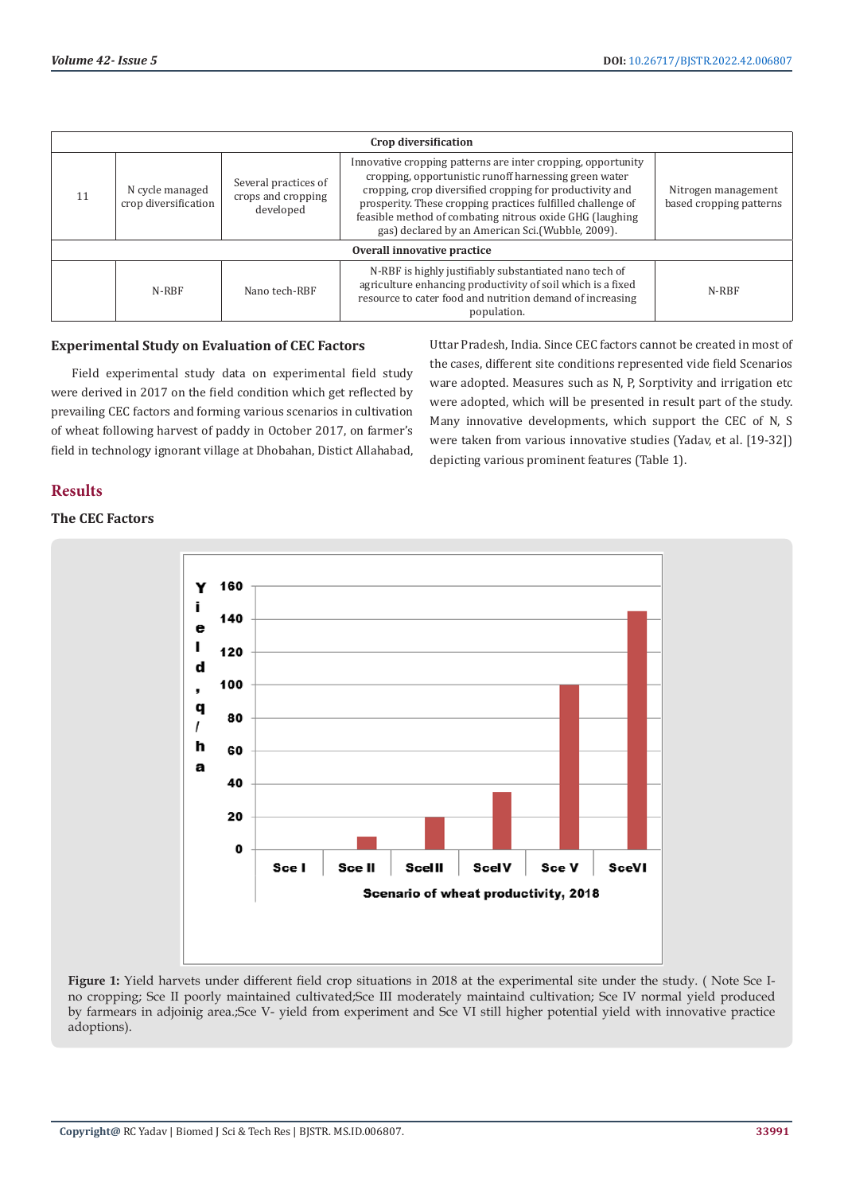| Crop diversification        |                                         |                                                         |                                                                                                                                                                                                                                                                                                                                                                  |                                                |  |  |
|-----------------------------|-----------------------------------------|---------------------------------------------------------|------------------------------------------------------------------------------------------------------------------------------------------------------------------------------------------------------------------------------------------------------------------------------------------------------------------------------------------------------------------|------------------------------------------------|--|--|
| 11                          | N cycle managed<br>crop diversification | Several practices of<br>crops and cropping<br>developed | Innovative cropping patterns are inter cropping, opportunity<br>cropping, opportunistic runoff harnessing green water<br>cropping, crop diversified cropping for productivity and<br>prosperity. These cropping practices fulfilled challenge of<br>feasible method of combating nitrous oxide GHG (laughing<br>gas) declared by an American Sci.(Wubble, 2009). | Nitrogen management<br>based cropping patterns |  |  |
| Overall innovative practice |                                         |                                                         |                                                                                                                                                                                                                                                                                                                                                                  |                                                |  |  |
|                             | N-RBF                                   | Nano tech-RBF                                           | N-RBF is highly justifiably substantiated nano tech of<br>agriculture enhancing productivity of soil which is a fixed<br>resource to cater food and nutrition demand of increasing<br>population.                                                                                                                                                                | N-RBF                                          |  |  |

### **Experimental Study on Evaluation of CEC Factors**

Field experimental study data on experimental field study were derived in 2017 on the field condition which get reflected by prevailing CEC factors and forming various scenarios in cultivation of wheat following harvest of paddy in October 2017, on farmer's field in technology ignorant village at Dhobahan, Distict Allahabad, Uttar Pradesh, India. Since CEC factors cannot be created in most of the cases, different site conditions represented vide field Scenarios ware adopted. Measures such as N, P, Sorptivity and irrigation etc were adopted, which will be presented in result part of the study. Many innovative developments, which support the CEC of N, S were taken from various innovative studies (Yadav, et al. [19-32]) depicting various prominent features (Table 1).

# **Results**

# **The CEC Factors**



**Figure 1:** Yield harvets under different field crop situations in 2018 at the experimental site under the study. ( Note Sce Ino cropping; Sce II poorly maintained cultivated;Sce III moderately maintaind cultivation; Sce IV normal yield produced by farmears in adjoinig area.;Sce V- yield from experiment and Sce VI still higher potential yield with innovative practice adoptions).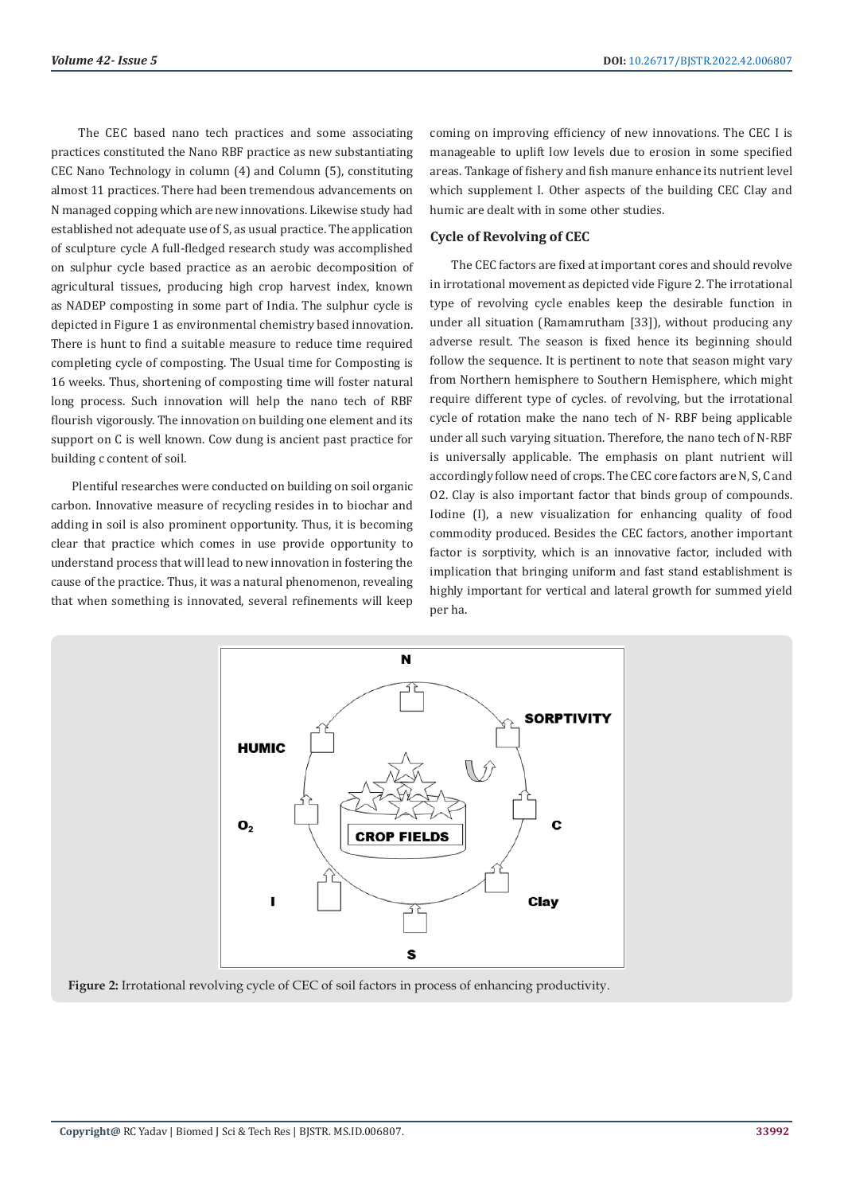The CEC based nano tech practices and some associating practices constituted the Nano RBF practice as new substantiating CEC Nano Technology in column (4) and Column (5), constituting almost 11 practices. There had been tremendous advancements on N managed copping which are new innovations. Likewise study had established not adequate use of S, as usual practice. The application of sculpture cycle A full-fledged research study was accomplished on sulphur cycle based practice as an aerobic decomposition of agricultural tissues, producing high crop harvest index, known as NADEP composting in some part of India. The sulphur cycle is depicted in Figure 1 as environmental chemistry based innovation. There is hunt to find a suitable measure to reduce time required completing cycle of composting. The Usual time for Composting is 16 weeks. Thus, shortening of composting time will foster natural long process. Such innovation will help the nano tech of RBF flourish vigorously. The innovation on building one element and its support on C is well known. Cow dung is ancient past practice for building c content of soil.

Plentiful researches were conducted on building on soil organic carbon. Innovative measure of recycling resides in to biochar and adding in soil is also prominent opportunity. Thus, it is becoming clear that practice which comes in use provide opportunity to understand process that will lead to new innovation in fostering the cause of the practice. Thus, it was a natural phenomenon, revealing that when something is innovated, several refinements will keep

coming on improving efficiency of new innovations. The CEC I is manageable to uplift low levels due to erosion in some specified areas. Tankage of fishery and fish manure enhance its nutrient level which supplement I. Other aspects of the building CEC Clay and humic are dealt with in some other studies.

### **Cycle of Revolving of CEC**

The CEC factors are fixed at important cores and should revolve in irrotational movement as depicted vide Figure 2. The irrotational type of revolving cycle enables keep the desirable function in under all situation (Ramamrutham [33]), without producing any adverse result. The season is fixed hence its beginning should follow the sequence. It is pertinent to note that season might vary from Northern hemisphere to Southern Hemisphere, which might require different type of cycles. of revolving, but the irrotational cycle of rotation make the nano tech of N- RBF being applicable under all such varying situation. Therefore, the nano tech of N-RBF is universally applicable. The emphasis on plant nutrient will accordingly follow need of crops. The CEC core factors are N, S, C and O2. Clay is also important factor that binds group of compounds. Iodine (I), a new visualization for enhancing quality of food commodity produced. Besides the CEC factors, another important factor is sorptivity, which is an innovative factor, included with implication that bringing uniform and fast stand establishment is highly important for vertical and lateral growth for summed yield per ha.



**Figure 2:** Irrotational revolving cycle of CEC of soil factors in process of enhancing productivity.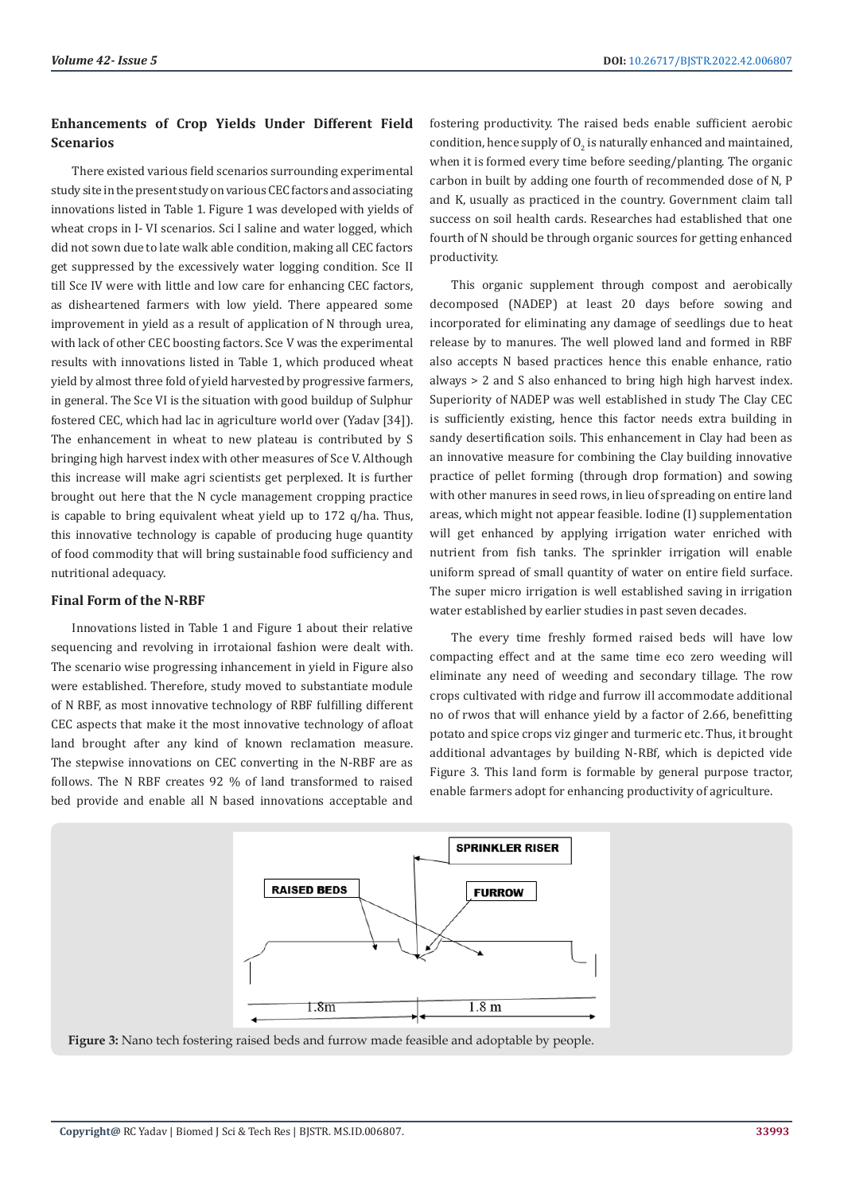# **Enhancements of Crop Yields Under Different Field Scenarios**

There existed various field scenarios surrounding experimental study site in the present study on various CEC factors and associating innovations listed in Table 1. Figure 1 was developed with yields of wheat crops in I- VI scenarios. Sci I saline and water logged, which did not sown due to late walk able condition, making all CEC factors get suppressed by the excessively water logging condition. Sce II till Sce IV were with little and low care for enhancing CEC factors, as disheartened farmers with low yield. There appeared some improvement in yield as a result of application of N through urea, with lack of other CEC boosting factors. Sce V was the experimental results with innovations listed in Table 1, which produced wheat yield by almost three fold of yield harvested by progressive farmers, in general. The Sce VI is the situation with good buildup of Sulphur fostered CEC, which had lac in agriculture world over (Yadav [34]). The enhancement in wheat to new plateau is contributed by S bringing high harvest index with other measures of Sce V. Although this increase will make agri scientists get perplexed. It is further brought out here that the N cycle management cropping practice is capable to bring equivalent wheat yield up to 172 q/ha. Thus, this innovative technology is capable of producing huge quantity of food commodity that will bring sustainable food sufficiency and nutritional adequacy.

#### **Final Form of the N-RBF**

Innovations listed in Table 1 and Figure 1 about their relative sequencing and revolving in irrotaional fashion were dealt with. The scenario wise progressing inhancement in yield in Figure also were established. Therefore, study moved to substantiate module of N RBF, as most innovative technology of RBF fulfilling different CEC aspects that make it the most innovative technology of afloat land brought after any kind of known reclamation measure. The stepwise innovations on CEC converting in the N-RBF are as follows. The N RBF creates 92 % of land transformed to raised bed provide and enable all N based innovations acceptable and

fostering productivity. The raised beds enable sufficient aerobic condition, hence supply of  $O_2$  is naturally enhanced and maintained, when it is formed every time before seeding/planting. The organic carbon in built by adding one fourth of recommended dose of N, P and K, usually as practiced in the country. Government claim tall success on soil health cards. Researches had established that one fourth of N should be through organic sources for getting enhanced productivity.

This organic supplement through compost and aerobically decomposed (NADEP) at least 20 days before sowing and incorporated for eliminating any damage of seedlings due to heat release by to manures. The well plowed land and formed in RBF also accepts N based practices hence this enable enhance, ratio always > 2 and S also enhanced to bring high high harvest index. Superiority of NADEP was well established in study The Clay CEC is sufficiently existing, hence this factor needs extra building in sandy desertification soils. This enhancement in Clay had been as an innovative measure for combining the Clay building innovative practice of pellet forming (through drop formation) and sowing with other manures in seed rows, in lieu of spreading on entire land areas, which might not appear feasible. Iodine (I) supplementation will get enhanced by applying irrigation water enriched with nutrient from fish tanks. The sprinkler irrigation will enable uniform spread of small quantity of water on entire field surface. The super micro irrigation is well established saving in irrigation water established by earlier studies in past seven decades.

The every time freshly formed raised beds will have low compacting effect and at the same time eco zero weeding will eliminate any need of weeding and secondary tillage. The row crops cultivated with ridge and furrow ill accommodate additional no of rwos that will enhance yield by a factor of 2.66, benefitting potato and spice crops viz ginger and turmeric etc. Thus, it brought additional advantages by building N-RBf, which is depicted vide Figure 3. This land form is formable by general purpose tractor, enable farmers adopt for enhancing productivity of agriculture.



**Figure 3:** Nano tech fostering raised beds and furrow made feasible and adoptable by people.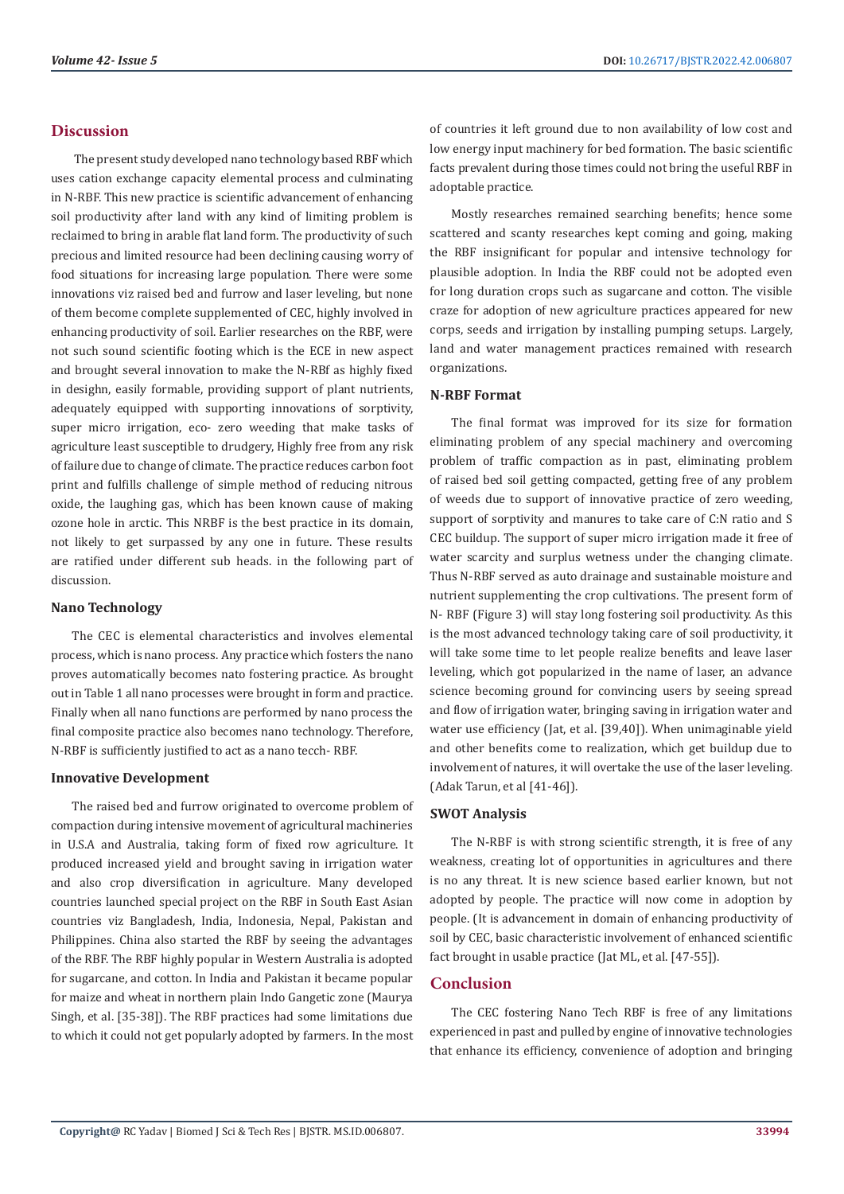### **Discussion**

 The present study developed nano technology based RBF which uses cation exchange capacity elemental process and culminating in N-RBF. This new practice is scientific advancement of enhancing soil productivity after land with any kind of limiting problem is reclaimed to bring in arable flat land form. The productivity of such precious and limited resource had been declining causing worry of food situations for increasing large population. There were some innovations viz raised bed and furrow and laser leveling, but none of them become complete supplemented of CEC, highly involved in enhancing productivity of soil. Earlier researches on the RBF, were not such sound scientific footing which is the ECE in new aspect and brought several innovation to make the N-RBf as highly fixed in desighn, easily formable, providing support of plant nutrients, adequately equipped with supporting innovations of sorptivity, super micro irrigation, eco- zero weeding that make tasks of agriculture least susceptible to drudgery, Highly free from any risk of failure due to change of climate. The practice reduces carbon foot print and fulfills challenge of simple method of reducing nitrous oxide, the laughing gas, which has been known cause of making ozone hole in arctic. This NRBF is the best practice in its domain, not likely to get surpassed by any one in future. These results are ratified under different sub heads. in the following part of discussion.

#### **Nano Technology**

The CEC is elemental characteristics and involves elemental process, which is nano process. Any practice which fosters the nano proves automatically becomes nato fostering practice. As brought out in Table 1 all nano processes were brought in form and practice. Finally when all nano functions are performed by nano process the final composite practice also becomes nano technology. Therefore, N-RBF is sufficiently justified to act as a nano tecch- RBF.

#### **Innovative Development**

The raised bed and furrow originated to overcome problem of compaction during intensive movement of agricultural machineries in U.S.A and Australia, taking form of fixed row agriculture. It produced increased yield and brought saving in irrigation water and also crop diversification in agriculture. Many developed countries launched special project on the RBF in South East Asian countries viz Bangladesh, India, Indonesia, Nepal, Pakistan and Philippines. China also started the RBF by seeing the advantages of the RBF. The RBF highly popular in Western Australia is adopted for sugarcane, and cotton. In India and Pakistan it became popular for maize and wheat in northern plain Indo Gangetic zone (Maurya Singh, et al. [35-38]). The RBF practices had some limitations due to which it could not get popularly adopted by farmers. In the most of countries it left ground due to non availability of low cost and low energy input machinery for bed formation. The basic scientific facts prevalent during those times could not bring the useful RBF in adoptable practice.

Mostly researches remained searching benefits; hence some scattered and scanty researches kept coming and going, making the RBF insignificant for popular and intensive technology for plausible adoption. In India the RBF could not be adopted even for long duration crops such as sugarcane and cotton. The visible craze for adoption of new agriculture practices appeared for new corps, seeds and irrigation by installing pumping setups. Largely, land and water management practices remained with research organizations.

#### **N-RBF Format**

The final format was improved for its size for formation eliminating problem of any special machinery and overcoming problem of traffic compaction as in past, eliminating problem of raised bed soil getting compacted, getting free of any problem of weeds due to support of innovative practice of zero weeding, support of sorptivity and manures to take care of C:N ratio and S CEC buildup. The support of super micro irrigation made it free of water scarcity and surplus wetness under the changing climate. Thus N-RBF served as auto drainage and sustainable moisture and nutrient supplementing the crop cultivations. The present form of N- RBF (Figure 3) will stay long fostering soil productivity. As this is the most advanced technology taking care of soil productivity, it will take some time to let people realize benefits and leave laser leveling, which got popularized in the name of laser, an advance science becoming ground for convincing users by seeing spread and flow of irrigation water, bringing saving in irrigation water and water use efficiency (Jat, et al. [39,40]). When unimaginable yield and other benefits come to realization, which get buildup due to involvement of natures, it will overtake the use of the laser leveling. (Adak Tarun, et al [41-46]).

#### **SWOT Analysis**

The N-RBF is with strong scientific strength, it is free of any weakness, creating lot of opportunities in agricultures and there is no any threat. It is new science based earlier known, but not adopted by people. The practice will now come in adoption by people. (It is advancement in domain of enhancing productivity of soil by CEC, basic characteristic involvement of enhanced scientific fact brought in usable practice (Jat ML, et al. [47-55]).

# **Conclusion**

The CEC fostering Nano Tech RBF is free of any limitations experienced in past and pulled by engine of innovative technologies that enhance its efficiency, convenience of adoption and bringing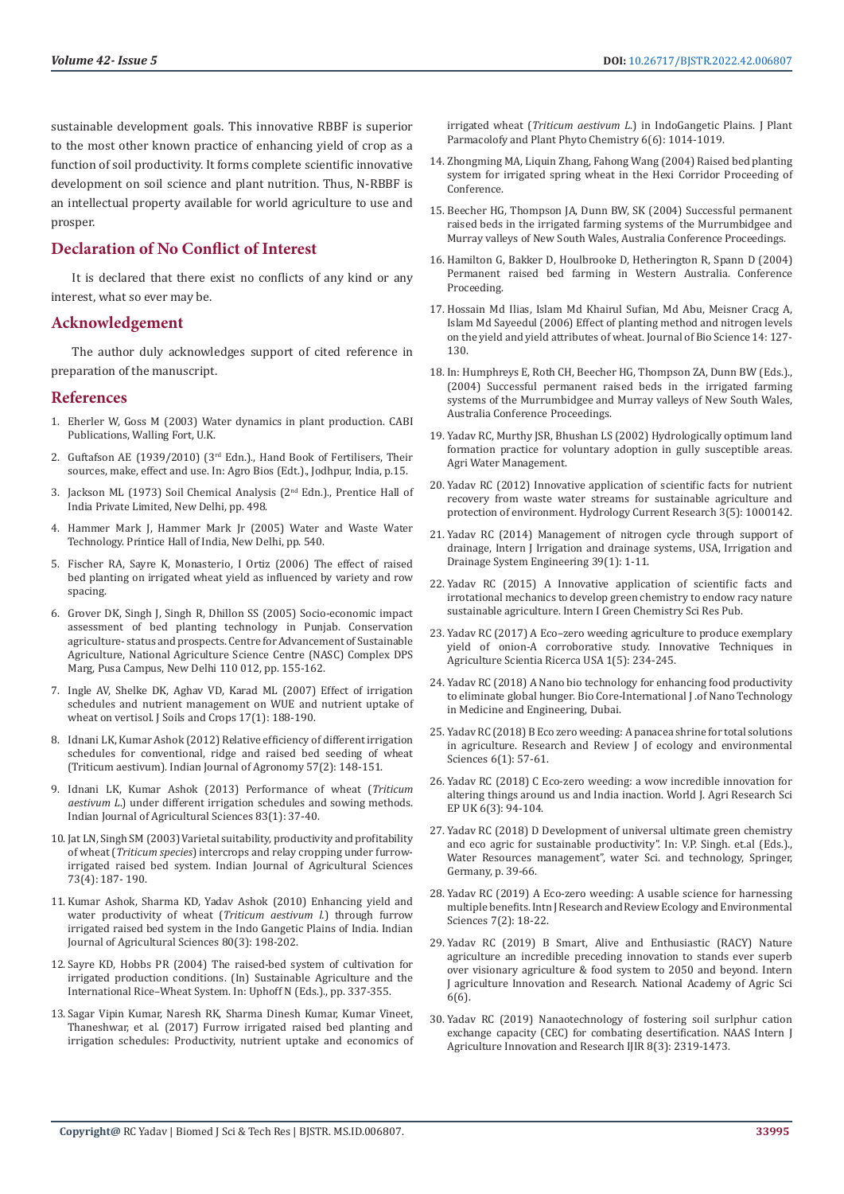sustainable development goals. This innovative RBBF is superior to the most other known practice of enhancing yield of crop as a function of soil productivity. It forms complete scientific innovative development on soil science and plant nutrition. Thus, N-RBBF is an intellectual property available for world agriculture to use and prosper.

# **Declaration of No Conflict of Interest**

It is declared that there exist no conflicts of any kind or any interest, what so ever may be.

#### **Acknowledgement**

The author duly acknowledges support of cited reference in preparation of the manuscript.

#### **References**

- 1. [Eherler W, Goss M \(2003\) Water dynamics in plant production. CABI](https://www.cabi.org/cabebooks/ebook/20033191068)  [Publications, Walling Fort, U.K.](https://www.cabi.org/cabebooks/ebook/20033191068)
- 2. Guftafson AE (1939/2010) (3rd Edn.)., Hand Book of Fertilisers, Their sources, make, effect and use. In: Agro Bios (Edt.)., Jodhpur, India, p.15.
- 3. [Jackson ML \(1973\) Soil Chemical Analysis \(2nd Edn.\)., Prentice Hall of](https://www.scirp.org/(S(351jmbntvnsjt1aadkposzje))/reference/ReferencesPapers.aspx?ReferenceID=1453838)  [India Private Limited, New Delhi, pp. 498.](https://www.scirp.org/(S(351jmbntvnsjt1aadkposzje))/reference/ReferencesPapers.aspx?ReferenceID=1453838)
- 4. Hammer Mark J, Hammer Mark Jr (2005) Water and Waste Water Technology. Printice Hall of India, New Delhi, pp. 540.
- 5. Fischer RA, Sayre K, Monasterio, I Ortiz (2006) The effect of raised bed planting on irrigated wheat yield as influenced by variety and row spacing.
- 6. Grover DK, Singh J, Singh R, Dhillon SS (2005) Socio-economic impact assessment of bed planting technology in Punjab. Conservation agriculture- status and prospects. Centre for Advancement of Sustainable Agriculture, National Agriculture Science Centre (NASC) Complex DPS Marg, Pusa Campus, New Delhi 110 012, pp. 155-162.
- 7. Ingle AV, Shelke DK, Aghav VD, Karad ML (2007) Effect of irrigation schedules and nutrient management on WUE and nutrient uptake of wheat on vertisol. J Soils and Crops 17(1): 188-190.
- 8. [Idnani LK, Kumar Ashok \(2012\) Relative efficiency of different irrigation](https://www.researchgate.net/publication/287603552_Relative_efficiency_of_different_irrigation_schedules_for_conventional_ridge_and_raised_bed_seeding_of_wheat_Triticum_aestivum)  [schedules for conventional, ridge and raised bed seeding of wheat](https://www.researchgate.net/publication/287603552_Relative_efficiency_of_different_irrigation_schedules_for_conventional_ridge_and_raised_bed_seeding_of_wheat_Triticum_aestivum)  [\(Triticum aestivum\). Indian Journal of Agronomy 57\(2\): 148-151.](https://www.researchgate.net/publication/287603552_Relative_efficiency_of_different_irrigation_schedules_for_conventional_ridge_and_raised_bed_seeding_of_wheat_Triticum_aestivum)
- 9. [Idnani LK, Kumar Ashok \(2013\) Performance of wheat \(](http://epubs.icar.org.in/ejournal/index.php/IJAgS/article/view/27209)*Triticum aestivum L*[.\) under different irrigation schedules and sowing methods.](http://epubs.icar.org.in/ejournal/index.php/IJAgS/article/view/27209)  [Indian Journal of Agricultural Sciences 83\(1\): 37-40.](http://epubs.icar.org.in/ejournal/index.php/IJAgS/article/view/27209)
- 10. [Jat LN, Singh SM \(2003\) Varietal suitability, productivity and profitability](https://www.researchgate.net/publication/295792150_Varietal_suitability_productivity_and_Profitability_of_wheat_Triticum_species_intercrops_and_relay_cropping_under_furrow-irrigated_raised_bed_system)  of wheat (*Triticum species*[\) intercrops and relay cropping under furrow](https://www.researchgate.net/publication/295792150_Varietal_suitability_productivity_and_Profitability_of_wheat_Triticum_species_intercrops_and_relay_cropping_under_furrow-irrigated_raised_bed_system)[irrigated raised bed system. Indian Journal of Agricultural Sciences](https://www.researchgate.net/publication/295792150_Varietal_suitability_productivity_and_Profitability_of_wheat_Triticum_species_intercrops_and_relay_cropping_under_furrow-irrigated_raised_bed_system)  [73\(4\): 187- 190.](https://www.researchgate.net/publication/295792150_Varietal_suitability_productivity_and_Profitability_of_wheat_Triticum_species_intercrops_and_relay_cropping_under_furrow-irrigated_raised_bed_system)
- 11. [Kumar Ashok, Sharma KD, Yadav Ashok \(2010\) Enhancing yield and](https://www.researchgate.net/publication/286982538_Enhancing_yield_and_water_productivity_of_wheat_Triticum_aestivum_through_furrow_irrigated_raised_bed_system_in_the_Indo-Gangetic_Plains_of_India)  [water productivity of wheat \(](https://www.researchgate.net/publication/286982538_Enhancing_yield_and_water_productivity_of_wheat_Triticum_aestivum_through_furrow_irrigated_raised_bed_system_in_the_Indo-Gangetic_Plains_of_India)*Triticum aestivum l.*) through furrow [irrigated raised bed system in the Indo Gangetic Plains of India. Indian](https://www.researchgate.net/publication/286982538_Enhancing_yield_and_water_productivity_of_wheat_Triticum_aestivum_through_furrow_irrigated_raised_bed_system_in_the_Indo-Gangetic_Plains_of_India)  [Journal of Agricultural Sciences 80\(3\): 198-202.](https://www.researchgate.net/publication/286982538_Enhancing_yield_and_water_productivity_of_wheat_Triticum_aestivum_through_furrow_irrigated_raised_bed_system_in_the_Indo-Gangetic_Plains_of_India)
- 12. [Sayre KD, Hobbs PR \(2004\) The raised-bed system of cultivation for](https://www.researchgate.net/publication/270214285_The_Raised-Bed_System_of_Cultivation_for_Irrigated_Production_Conditions)  [irrigated production conditions. \(In\) Sustainable Agriculture and the](https://www.researchgate.net/publication/270214285_The_Raised-Bed_System_of_Cultivation_for_Irrigated_Production_Conditions)  [International Rice–Wheat System. In: Uphoff N \(Eds.\)., pp. 337-355.](https://www.researchgate.net/publication/270214285_The_Raised-Bed_System_of_Cultivation_for_Irrigated_Production_Conditions)
- 13. [Sagar Vipin Kumar, Naresh RK, Sharma Dinesh Kumar, Kumar Vineet,](https://www.phytojournal.com/archives/2017/vol6issue6/PartO/6-5-521-195.pdf)  [Thaneshwar, et al. \(2017\) Furrow irrigated raised bed planting and](https://www.phytojournal.com/archives/2017/vol6issue6/PartO/6-5-521-195.pdf)  [irrigation schedules: Productivity, nutrient uptake and economics of](https://www.phytojournal.com/archives/2017/vol6issue6/PartO/6-5-521-195.pdf)

irrigated wheat (*Triticum aestivum L*[.\) in IndoGangetic Plains. J Plant](https://www.phytojournal.com/archives/2017/vol6issue6/PartO/6-5-521-195.pdf) [Parmacolofy and Plant Phyto Chemistry 6\(6\): 1014-1019.](https://www.phytojournal.com/archives/2017/vol6issue6/PartO/6-5-521-195.pdf)

- 14. Zhongming MA, Liquin Zhang, Fahong Wang (2004) Raised bed planting system for irrigated spring wheat in the Hexi Corridor Proceeding of Conference.
- 15. Beecher HG, Thompson JA, Dunn BW, SK (2004) Successful permanent raised beds in the irrigated farming systems of the Murrumbidgee and Murray valleys of New South Wales, Australia Conference Proceedings.
- 16. Hamilton G, Bakker D, Houlbrooke D, Hetherington R, Spann D (2004) Permanent raised bed farming in Western Australia. Conference Proceeding.
- 17. [Hossain Md Ilias, Islam Md Khairul Sufian, Md Abu, Meisner Cracg A,](https://www.banglajol.info/index.php/JBS/article/view/456) [Islam Md Sayeedul \(2006\) Effect of planting method and nitrogen levels](https://www.banglajol.info/index.php/JBS/article/view/456) [on the yield and yield attributes of wheat. Journal of Bio Science 14: 127-](https://www.banglajol.info/index.php/JBS/article/view/456) [130.](https://www.banglajol.info/index.php/JBS/article/view/456)
- 18. In: Humphreys E, Roth CH, Beecher HG, Thompson ZA, Dunn BW (Eds.)., (2004) Successful permanent raised beds in the irrigated farming systems of the Murrumbidgee and Murray valleys of New South Wales, Australia Conference Proceedings.
- 19. Yadav RC, Murthy JSR, Bhushan LS (2002) Hydrologically optimum land formation practice for voluntary adoption in gully susceptible areas. Agri Water Management.
- 20. [Yadav RC \(2012\) Innovative application of scientific facts for nutrient](https://www.researchgate.net/publication/269544192_Innovative_Application_of_Scientific_Fact_for_Nutrient_Recovery_from_Waste_Water_Streams_for_Sustainable_Agriculture_and_Protection_of_Environment_A_Review) [recovery from waste water streams for sustainable agriculture and](https://www.researchgate.net/publication/269544192_Innovative_Application_of_Scientific_Fact_for_Nutrient_Recovery_from_Waste_Water_Streams_for_Sustainable_Agriculture_and_Protection_of_Environment_A_Review) [protection of environment. Hydrology Current Research 3\(5\): 1000142](https://www.researchgate.net/publication/269544192_Innovative_Application_of_Scientific_Fact_for_Nutrient_Recovery_from_Waste_Water_Streams_for_Sustainable_Agriculture_and_Protection_of_Environment_A_Review).
- 21. Yadav RC (2014) Management of nitrogen cycle through support of drainage, Intern J Irrigation and drainage systems, USA, Irrigation and Drainage System Engineering 39(1): 1-11.
- 22. Yadav RC (2015) A Innovative application of scientific facts and irrotational mechanics to develop green chemistry to endow racy nature sustainable agriculture. Intern I Green Chemistry Sci Res Pub.
- 23. [Yadav RC \(2017\) A Eco–zero weeding agriculture to produce exemplary](https://scientiaricerca.com/sritag/SRITAG-01-00030.php) [yield of onion-A corroborative study. Innovative Techniques in](https://scientiaricerca.com/sritag/SRITAG-01-00030.php) [Agriculture Scientia Ricerca USA 1\(5\): 234-245.](https://scientiaricerca.com/sritag/SRITAG-01-00030.php)
- 24. Yadav RC (2018) A Nano bio technology for enhancing food productivity to eliminate global hunger. Bio Core-International J .of Nano Technology in Medicine and Engineering, Dubai.
- 25. Yadav RC (2018) B Eco zero weeding: A panacea shrine for total solutions in agriculture. Research and Review J of ecology and environmental Sciences 6(1): 57-61.
- 26. [Yadav RC \(2018\) C Eco-zero weeding: a wow incredible innovation for](http://pubs.sciepub.com/wjar/6/3/4/index.html) [altering things around us and India inaction. World J. Agri Research Sci](http://pubs.sciepub.com/wjar/6/3/4/index.html) [EP UK 6\(3\): 94-104.](http://pubs.sciepub.com/wjar/6/3/4/index.html)
- 27. [Yadav RC \(2018\) D Development of universal ultimate green chemistry](https://www.researchgate.net/publication/321343309_Development_of_Universal_Ultimate_Total_Green_Chemistry_and_Eco-Agriculture_for_Sustainable_Productivity) [and eco agric for sustainable productivity". In: V.P. Singh. et.al \(Eds.\).,](https://www.researchgate.net/publication/321343309_Development_of_Universal_Ultimate_Total_Green_Chemistry_and_Eco-Agriculture_for_Sustainable_Productivity) [Water Resources management", water Sci. and technology, Springer,](https://www.researchgate.net/publication/321343309_Development_of_Universal_Ultimate_Total_Green_Chemistry_and_Eco-Agriculture_for_Sustainable_Productivity) [Germany, p. 39-66.](https://www.researchgate.net/publication/321343309_Development_of_Universal_Ultimate_Total_Green_Chemistry_and_Eco-Agriculture_for_Sustainable_Productivity)
- 28. Yadav RC (2019) A Eco-zero weeding: A usable science for harnessing multiple benefits. Intn J Research and Review Ecology and Environmental Sciences 7(2): 18-22.
- 29. Yadav RC (2019) B Smart, Alive and Enthusiastic (RACY) Nature agriculture an incredible preceding innovation to stands ever superb over visionary agriculture & food system to 2050 and beyond. Intern J agriculture Innovation and Research. National Academy of Agric Sci 6(6).
- 30. [Yadav RC \(2019\) Nanaotechnology of fostering soil surlphur cation](https://www.ijair.org/administrator/components/com_jresearch/files/publications/IJAIR_3107_FINAL.pdf) [exchange capacity \(CEC\) for combating desertification. NAAS Intern J](https://www.ijair.org/administrator/components/com_jresearch/files/publications/IJAIR_3107_FINAL.pdf) [Agriculture Innovation and Research IJIR 8\(3\): 2319-1473.](https://www.ijair.org/administrator/components/com_jresearch/files/publications/IJAIR_3107_FINAL.pdf)